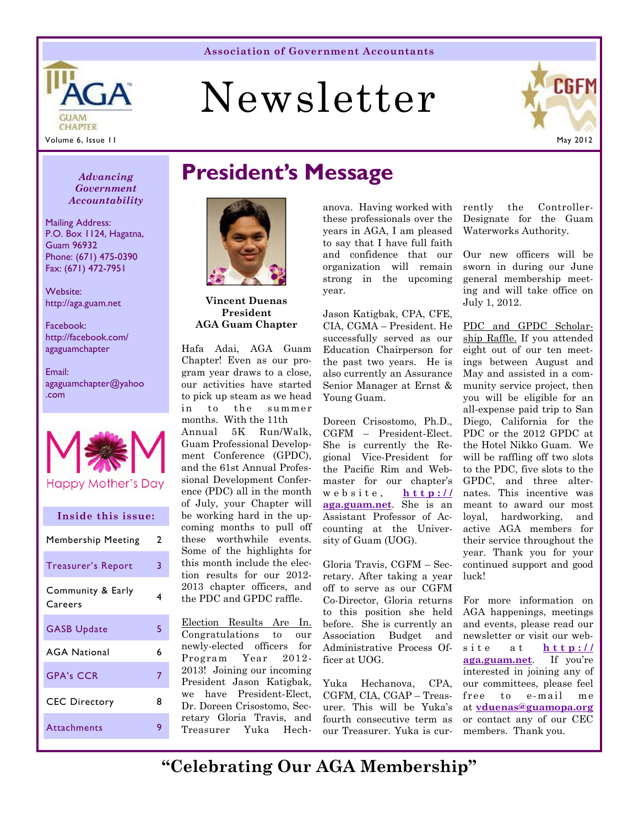# Newsletter



CHAPTER

GUAM

ΠЕ

Mailing Address: P.O. Box 1124, Hagatna,

Phone: (671) 475-0390 Fax: (671) 472-7951

http://aga.guam.net

http://facebook.com/ agaguamchapter

agaguamchapter@yahoo

Guam 96932

Website:

Facebook:

Email:

.com

*Accountability* 

**Inside this issue:** 

Happy Mother's Day

Membership Meeting 2

Treasurer's Report 3

GASB Update 5

AGA National 6

GPA's CCR 7

Attachments 9

CEC Directory 8

Community & Early Careers **4** 

## *Advancing* **President's Message** *Government*



**Vincent Duenas President AGA Guam Chapter** 

Hafa Adai, AGA Guam Chapter! Even as our program year draws to a close, our activities have started to pick up steam as we head in to the summer months. With the 11th Annual 5K Run/Walk,

Guam Professional Development Conference (GPDC), and the 61st Annual Professional Development Conference (PDC) all in the month of July, your Chapter will be working hard in the upcoming months to pull off these worthwhile events. Some of the highlights for this month include the election results for our 2012- 2013 chapter officers, and the PDC and GPDC raffle.

Election Results Are In. Congratulations to our newly-elected officers for Program Year 2012- 2013! Joining our incoming President Jason Katigbak, we have President-Elect, Dr. Doreen Crisostomo, Secretary Gloria Travis, and Treasurer Yuka Hechanova. Having worked with these professionals over the years in AGA, I am pleased to say that I have full faith and confidence that our organization will remain strong in the upcoming year.

Jason Katigbak, CPA, CFE, CIA, CGMA – President. He successfully served as our Education Chairperson for the past two years. He is also currently an Assurance Senior Manager at Ernst & Young Guam.

Doreen Crisostomo, Ph.D., CGFM – President-Elect. She is currently the Regional Vice-President for the Pacific Rim and Webmaster for our chapter's website, **http:// aga.guam.net**. She is an Assistant Professor of Accounting at the University of Guam (UOG).

Gloria Travis, CGFM – Secretary. After taking a year off to serve as our CGFM Co-Director, Gloria returns to this position she held before. She is currently an Association Budget and Administrative Process Officer at UOG.

Yuka Hechanova, CPA, CGFM, CIA, CGAP – Treasurer. This will be Yuka's fourth consecutive term as our Treasurer. Yuka is currently the Controller-Designate for the Guam Waterworks Authority.

Our new officers will be sworn in during our June general membership meeting and will take office on July 1, 2012.

PDC and GPDC Scholarship Raffle. If you attended eight out of our ten meetings between August and May and assisted in a community service project, then you will be eligible for an all-expense paid trip to San Diego, California for the PDC or the 2012 GPDC at the Hotel Nikko Guam. We will be raffling off two slots to the PDC, five slots to the GPDC, and three alternates. This incentive was meant to award our most loyal, hardworking, and active AGA members for their service throughout the year. Thank you for your continued support and good luck!

For more information on AGA happenings, meetings and events, please read our newsletter or visit our website at **http:// aga.guam.net**. If you're interested in joining any of our committees, please feel free to e-mail me at **vduenas@guamopa.org** or contact any of our CEC members. Thank you.

**"Celebrating Our AGA Membership"**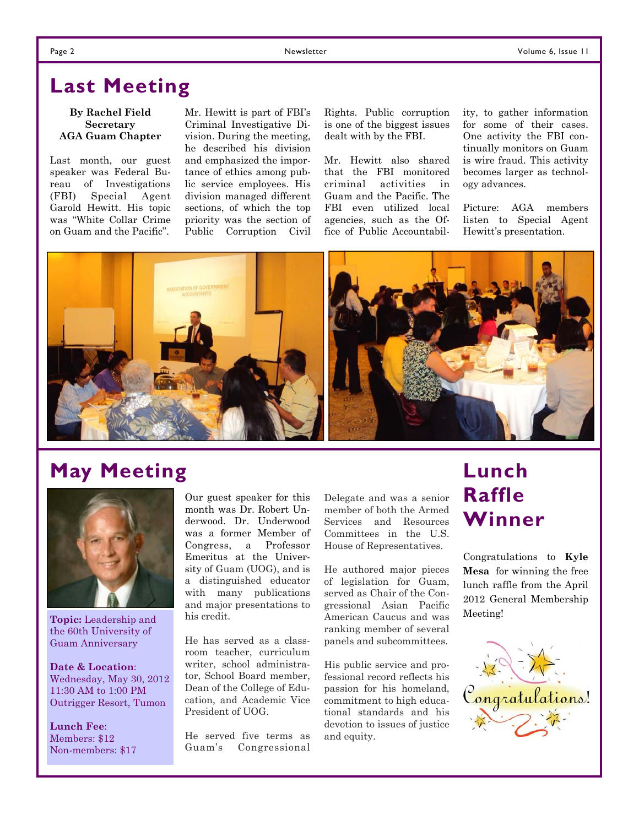### **Last Meeting**

#### **By Rachel Field Secretary AGA Guam Chapter**

Last month, our guest speaker was Federal Bureau of Investigations (FBI) Special Agent Garold Hewitt. His topic was "White Collar Crime on Guam and the Pacific".

Mr. Hewitt is part of FBI's Criminal Investigative Division. During the meeting, he described his division and emphasized the importance of ethics among public service employees. His division managed different sections, of which the top priority was the section of Public Corruption Civil

Rights. Public corruption is one of the biggest issues dealt with by the FBI.

Mr. Hewitt also shared that the FBI monitored criminal activities in Guam and the Pacific. The FBI even utilized local agencies, such as the Office of Public Accountability, to gather information for some of their cases. One activity the FBI continually monitors on Guam is wire fraud. This activity becomes larger as technology advances.

Picture: AGA members listen to Special Agent Hewitt's presentation.



### **May Meeting**



**Topic:** Leadership and the 60th University of Guam Anniversary

**Date & Location**: Wednesday, May 30, 2012 11:30 AM to 1:00 PM Outrigger Resort, Tumon

**Lunch Fee**: Members: \$12 Non-members: \$17 Our guest speaker for this month was Dr. Robert Underwood. Dr. Underwood was a former Member of Congress, a Professor Emeritus at the University of Guam (UOG), and is a distinguished educator with many publications and major presentations to his credit.

He has served as a classroom teacher, curriculum writer, school administrator, School Board member, Dean of the College of Education, and Academic Vice President of UOG.

He served five terms as Guam's Congressional Delegate and was a senior member of both the Armed Services and Resources Committees in the U.S. House of Representatives.

He authored major pieces of legislation for Guam, served as Chair of the Congressional Asian Pacific American Caucus and was ranking member of several panels and subcommittees.

His public service and professional record reflects his passion for his homeland, commitment to high educational standards and his devotion to issues of justice and equity.

### **Lunch Raffle Winner**

Congratulations to **Kyle Mesa** for winning the free lunch raffle from the April 2012 General Membership Meeting!

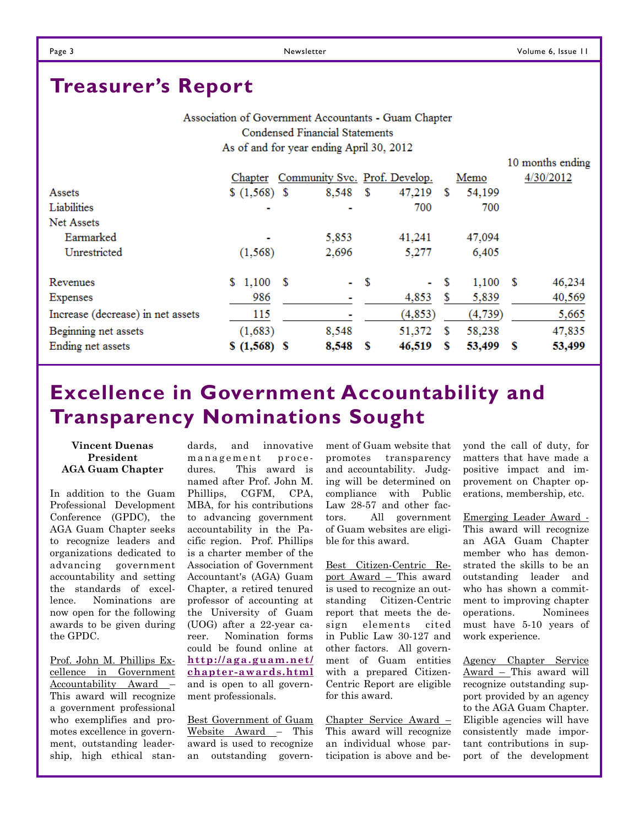### **Treasurer's Report**

Association of Government Accountants - Guam Chapter **Condensed Financial Statements** As of and for year ending April 30, 2012

|                                   |                |     |                               |      |          |   |            |     | 10 months ending |
|-----------------------------------|----------------|-----|-------------------------------|------|----------|---|------------|-----|------------------|
|                                   | Chapter        |     | Community Svc. Prof. Develop. |      |          |   | Memo       |     | 4/30/2012        |
| Assets                            | $(1,568)$ \$   |     | 8,548                         | - \$ | 47,219   | S | 54,199     |     |                  |
| Liabilities                       | $\blacksquare$ |     |                               |      | 700      |   | 700        |     |                  |
| Net Assets                        |                |     |                               |      |          |   |            |     |                  |
| Earmarked                         | ٠              |     | 5,853                         |      | 41,241   |   | 47,094     |     |                  |
| Unrestricted                      | (1, 568)       |     | 2,696                         |      | 5,277    |   | 6,405      |     |                  |
| Revenues                          | 1,100<br>S.    | - S | $-$ \$                        |      | $\sim$   | S | $1,100$ \$ |     | 46,234           |
| Expenses                          | 986            |     |                               |      | 4,853    | S | 5,839      |     | 40,569           |
| Increase (decrease) in net assets | 115            |     |                               |      | (4, 853) |   | (4, 739)   |     | 5,665            |
| Beginning net assets              | (1,683)        |     | 8,548                         |      | 51,372   | S | 58,238     |     | 47,835           |
| Ending net assets                 | $$ (1,568)$ \$ |     | 8,548                         | - S  | 46,519   | s | 53,499     | - S | 53,499           |

### **Excellence in Government Accountability and Transparency Nominations Sought**

#### **Vincent Duenas President AGA Guam Chapter**

In addition to the Guam Professional Development Conference (GPDC), the AGA Guam Chapter seeks to recognize leaders and organizations dedicated to advancing government accountability and setting the standards of excellence. Nominations are now open for the following awards to be given during the GPDC.

Prof. John M. Phillips Excellence in Government Accountability Award – This award will recognize a government professional who exemplifies and promotes excellence in government, outstanding leadership, high ethical stan-

dards, and innovative management procedures. This award is named after Prof. John M. Phillips, CGFM, CPA, MBA, for his contributions to advancing government accountability in the Pacific region. Prof. Phillips is a charter member of the Association of Government Accountant's (AGA) Guam Chapter, a retired tenured professor of accounting at the University of Guam (UOG) after a 22-year career. Nomination forms could be found online at **http://aga.guam.net/ chapter-awards.html** and is open to all government professionals.

Best Government of Guam Website Award – This award is used to recognize an outstanding govern-

ment of Guam website that promotes transparency and accountability. Judging will be determined on compliance with Public Law 28-57 and other factors. All government of Guam websites are eligible for this award.

Best Citizen-Centric Report Award – This award is used to recognize an outstanding Citizen-Centric report that meets the design elements cited in Public Law 30-127 and other factors. All government of Guam entities with a prepared Citizen-Centric Report are eligible for this award.

Chapter Service Award – This award will recognize an individual whose participation is above and be-

yond the call of duty, for matters that have made a positive impact and improvement on Chapter operations, membership, etc.

Emerging Leader Award - This award will recognize an AGA Guam Chapter member who has demonstrated the skills to be an outstanding leader and who has shown a commitment to improving chapter operations. Nominees must have 5-10 years of work experience.

Agency Chapter Service Award – This award will recognize outstanding support provided by an agency to the AGA Guam Chapter. Eligible agencies will have consistently made important contributions in support of the development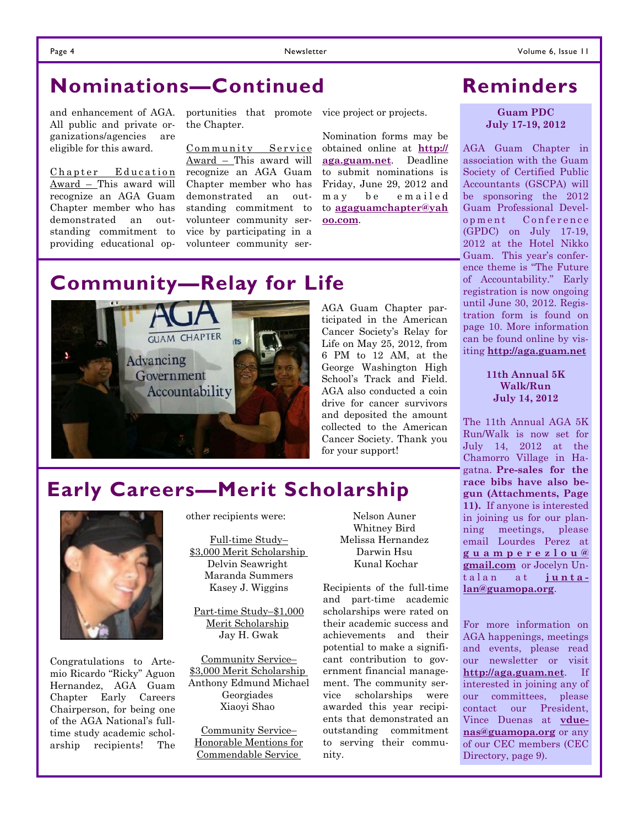### **Nominations—Continued**

and enhancement of AGA. All public and private organizations/agencies are eligible for this award.

Chapter Education Award – This award will recognize an AGA Guam Chapter member who has demonstrated an outstanding commitment to providing educational op-

portunities that promote vice project or projects. the Chapter.

Community Service Award – This award will recognize an AGA Guam Chapter member who has demonstrated an outstanding commitment to volunteer community service by participating in a volunteer community ser-

Nomination forms may be obtained online at **http:// aga.guam.net**. Deadline to submit nominations is Friday, June 29, 2012 and may be emailed to **agaguamchapter@yah oo.com**.

### **Reminders**

**Guam PDC July 17-19, 2012** 

AGA Guam Chapter in association with the Guam Society of Certified Public Accountants (GSCPA) will be sponsoring the 2012 Guam Professional Development Conference (GPDC) on July 17-19, 2012 at the Hotel Nikko Guam. This year's conference theme is "The Future of Accountability." Early registration is now ongoing until June 30, 2012. Registration form is found on page 10. More information can be found online by visiting **http://aga.guam.net**

> **11th Annual 5K Walk/Run July 14, 2012**

The 11th Annual AGA 5K Run/Walk is now set for July 14, 2012 at the Chamorro Village in Hagatna. **Pre-sales for the race bibs have also begun (Attachments, Page 11).** If anyone is interested in joining us for our planning meetings, please email Lourdes Perez at **g u a m p e r e z l o u @ gmail.com** or Jocelyn Untalan at **juntalan@guamopa.org**.

For more information on AGA happenings, meetings and events, please read our newsletter or visit **http://aga.guam.net**. If interested in joining any of our committees, please contact our President, Vince Duenas at **vduenas@guamopa.org** or any of our CEC members (CEC Directory, page 9).

### **Community—Relay for Life**



AGA Guam Chapter participated in the American Cancer Society's Relay for Life on May 25, 2012, from 6 PM to 12 AM, at the George Washington High School's Track and Field. AGA also conducted a coin drive for cancer survivors and deposited the amount collected to the American Cancer Society. Thank you for your support!

### **Early Careers—Merit Scholarship**



Congratulations to Artemio Ricardo "Ricky" Aguon Hernandez, AGA Guam Chapter Early Careers Chairperson, for being one of the AGA National's fulltime study academic scholarship recipients! The other recipients were:

Full-time Study– \$3,000 Merit Scholarship Delvin Seawright Maranda Summers Kasey J. Wiggins

Part-time Study–\$1,000 Merit Scholarship Jay H. Gwak

Community Service– \$3,000 Merit Scholarship Anthony Edmund Michael Georgiades Xiaoyi Shao

Community Service– Honorable Mentions for Commendable Service

Nelson Auner Whitney Bird Melissa Hernandez Darwin Hsu Kunal Kochar

Recipients of the full-time and part-time academic scholarships were rated on their academic success and achievements and their potential to make a significant contribution to government financial management. The community service scholarships were awarded this year recipients that demonstrated an outstanding commitment to serving their community.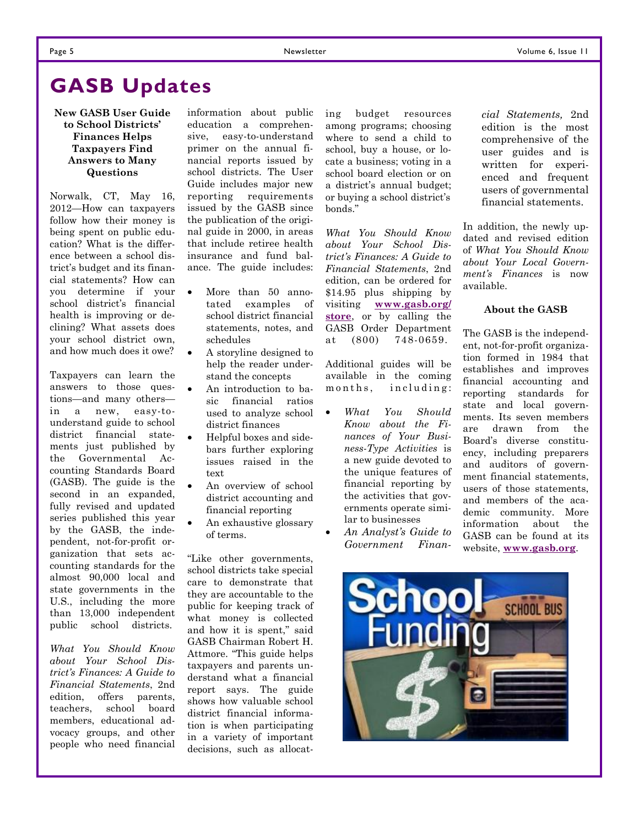### **GASB Updates**

#### **New GASB User Guide to School Districts' Finances Helps Taxpayers Find Answers to Many Questions**

Norwalk, CT, May 16, 2012—How can taxpayers follow how their money is being spent on public education? What is the difference between a school district's budget and its financial statements? How can you determine if your school district's financial health is improving or declining? What assets does your school district own, and how much does it owe?

Taxpayers can learn the answers to those questions—and many others in a new, easy-tounderstand guide to school district financial statements just published by the Governmental Accounting Standards Board (GASB). The guide is the second in an expanded, fully revised and updated series published this year by the GASB, the independent, not-for-profit organization that sets accounting standards for the almost 90,000 local and state governments in the U.S., including the more than 13,000 independent public school districts.

*What You Should Know about Your School District's Finances: A Guide to Financial Statements*, 2nd edition, offers parents, teachers, school board members, educational advocacy groups, and other people who need financial

information about public education a comprehensive, easy-to-understand primer on the annual financial reports issued by school districts. The User Guide includes major new reporting requirements issued by the GASB since the publication of the original guide in 2000, in areas that include retiree health insurance and fund balance. The guide includes:

- More than 50 annotated examples of school district financial statements, notes, and schedules
- A storyline designed to help the reader understand the concepts
- An introduction to basic financial ratios used to analyze school district finances
- Helpful boxes and sidebars further exploring issues raised in the text
- An overview of school district accounting and financial reporting
- An exhaustive glossary of terms.

"Like other governments, school districts take special care to demonstrate that they are accountable to the public for keeping track of what money is collected and how it is spent," said GASB Chairman Robert H. Attmore. "This guide helps taxpayers and parents understand what a financial report says. The guide shows how valuable school district financial information is when participating in a variety of important decisions, such as allocating budget resources among programs; choosing where to send a child to school, buy a house, or locate a business; voting in a school board election or on a district's annual budget; or buying a school district's bonds."

*What You Should Know about Your School District's Finances: A Guide to Financial Statements*, 2nd edition, can be ordered for \$14.95 plus shipping by visiting **www.gasb.org/ store**, or by calling the GASB Order Department at (800) 748-0659.

Additional guides will be available in the coming m on ths, including:

- *What You Should Know about the Finances of Your Business-Type Activities* is a new guide devoted to the unique features of financial reporting by the activities that governments operate similar to businesses
- *An Analyst's Guide to Government Finan-*

*cial Statements,* 2nd edition is the most comprehensive of the user guides and is written for experienced and frequent users of governmental financial statements.

In addition, the newly updated and revised edition of *What You Should Know about Your Local Government's Finances* is now available.

#### **About the GASB**

The GASB is the independent, not-for-profit organization formed in 1984 that establishes and improves financial accounting and reporting standards for state and local governments. Its seven members are drawn from the Board's diverse constituency, including preparers and auditors of government financial statements, users of those statements, and members of the academic community. More information about the GASB can be found at its website, **www.gasb.org**.

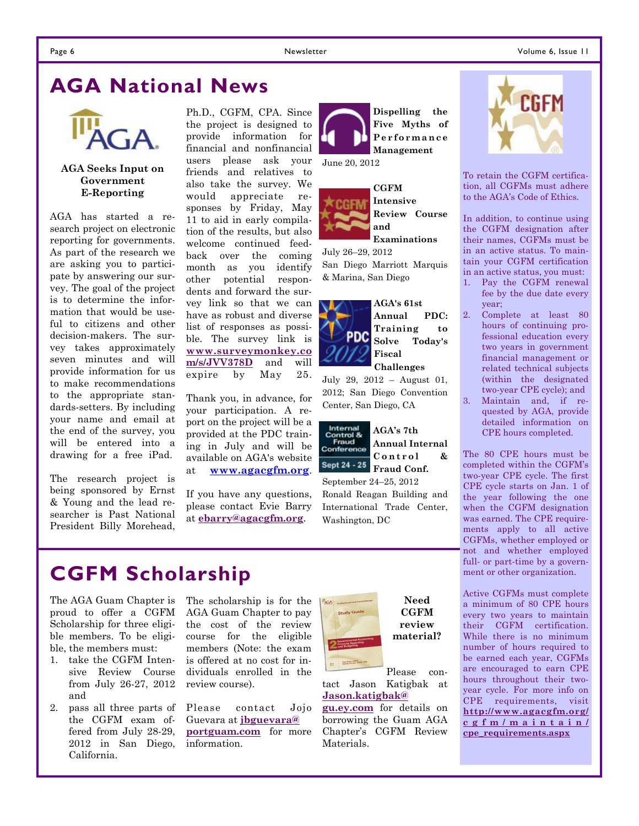#### Page 6 Newsletter Newsletter Communication of the Volume 6, Issue 11

### **AGA National News**



#### **AGA Seeks Input on Government E-Reporting**

AGA has started a research project on electronic reporting for governments. As part of the research we are asking you to participate by answering our survey. The goal of the project is to determine the information that would be useful to citizens and other decision-makers. The survey takes approximately seven minutes and will provide information for us to make recommendations to the appropriate standards-setters. By including your name and email at the end of the survey, you will be entered into a drawing for a free iPad.

The research project is being sponsored by Ernst & Young and the lead researcher is Past National President Billy Morehead,

Ph.D., CGFM, CPA. Since the project is designed to provide information for financial and nonfinancial users please ask your friends and relatives to also take the survey. We would appreciate responses by Friday, May 11 to aid in early compilation of the results, but also welcome continued feedback over the coming month as you identify other potential respondents and forward the survey link so that we can have as robust and diverse list of responses as possible. The survey link is **www.surveymonkey.co m/s/JVV378D** and will expire by May 25.

Thank you, in advance, for your participation. A report on the project will be a provided at the PDC training in July and will be available on AGA's website at **www.agacgfm.org**.

If you have any questions, please contact Evie Barry at **ebarry@agacgfm.org**.



**Review Course and Examinations** 

**Dispelling the Five Myths of** 

July 26–29, 2012 San Diego Marriott Marquis & Marina, San Diego

**AGA's 61st Annual PDC: Training to**  pdc **Solve Today's Fiscal Challenges** 

July 29, 2012 – August 01, 2012; San Diego Convention Center, San Diego, CA



**Annual Internal**  Control & **Fraud Conf.** 

September 24–25, 2012 Ronald Reagan Building and International Trade Center, Washington, DC



To retain the CGFM certification, all CGFMs must adhere to the AGA's Code of Ethics.

In addition, to continue using the CGFM designation after their names, CGFMs must be in an active status. To maintain your CGFM certification in an active status, you must:

1. Pay the CGFM renewal fee by the due date every year;

2. Complete at least 80 hours of continuing professional education every two years in government financial management or related technical subjects (within the designated two-year CPE cycle); and

3. Maintain and, if requested by AGA, provide detailed information on CPE hours completed.

The 80 CPE hours must be completed within the CGFM's two-year CPE cycle. The first CPE cycle starts on Jan. 1 of the year following the one when the CGFM designation was earned. The CPE requirements apply to all active CGFMs, whether employed or not and whether employed full- or part-time by a government or other organization.

Active CGFMs must complete a minimum of 80 CPE hours every two years to maintain their CGFM certification. While there is no minimum number of hours required to be earned each year, CGFMs are encouraged to earn CPE hours throughout their twoyear cycle. For more info on CPE requirements, visit **http://www.agacgfm.org/ cgfm/maintain/ cpe\_requirements.aspx**

### **CGFM Scholarship**

The AGA Guam Chapter is proud to offer a CGFM Scholarship for three eligible members. To be eligible, the members must:

- 1. take the CGFM Intensive Review Course from July 26-27, 2012 and
- 2. pass all three parts of the CGFM exam offered from July 28-29, 2012 in San Diego, California.

The scholarship is for the AGA Guam Chapter to pay the cost of the review course for the eligible members (Note: the exam is offered at no cost for individuals enrolled in the review course).

Please contact Jojo Guevara at **jbguevara@ portguam.com** for more information.



**CGFM review material?** 

Please contact Jason Katigbak at **Jason.katigbak@**

**gu.ey.com** for details on borrowing the Guam AGA Chapter's CGFM Review Materials.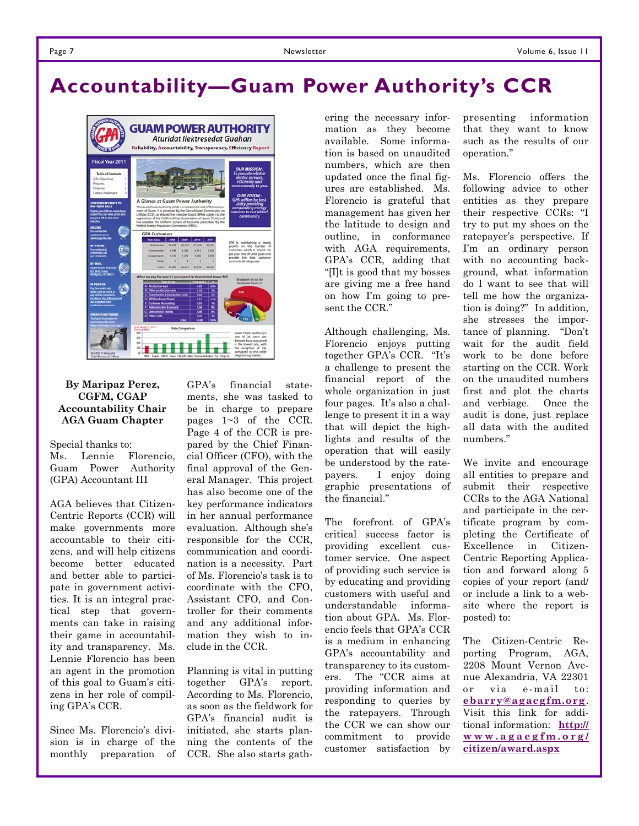### **Accountability—Guam Power Authority's CCR**



#### **By Maripaz Perez, CGFM, CGAP Accountability Chair AGA Guam Chapter**

Special thanks to:

Ms. Lennie Florencio, Guam Power Authority (GPA) Accountant III

AGA believes that Citizen-Centric Reports (CCR) will make governments more accountable to their citizens, and will help citizens become better educated and better able to participate in government activities. It is an integral practical step that governments can take in raising their game in accountability and transparency. Ms. Lennie Florencio has been an agent in the promotion of this goal to Guam's citizens in her role of compiling GPA's CCR.

Since Ms. Florencio's division is in charge of the monthly preparation of GPA's financial statements, she was tasked to be in charge to prepare pages 1~3 of the CCR. Page 4 of the CCR is prepared by the Chief Financial Officer (CFO), with the final approval of the General Manager. This project has also become one of the key performance indicators in her annual performance evaluation. Although she's responsible for the CCR, communication and coordination is a necessity. Part of Ms. Florencio's task is to coordinate with the CFO, Assistant CFO, and Controller for their comments and any additional information they wish to include in the CCR.

Planning is vital in putting together GPA's report. According to Ms. Florencio, as soon as the fieldwork for GPA's financial audit is initiated, she starts planning the contents of the CCR. She also starts gath-

ering the necessary information as they become available. Some information is based on unaudited numbers, which are then updated once the final figures are established. Ms. Florencio is grateful that management has given her the latitude to design and outline, in conformance with AGA requirements. GPA's CCR, adding that "[I]t is good that my bosses are giving me a free hand on how I'm going to present the CCR."

Although challenging, Ms. Florencio enjoys putting together GPA's CCR. "It's a challenge to present the financial report of the whole organization in just four pages. It's also a challenge to present it in a way that will depict the highlights and results of the operation that will easily be understood by the ratepayers. I enjoy doing graphic presentations of the financial."

The forefront of GPA's critical success factor is providing excellent customer service. One aspect of providing such service is by educating and providing customers with useful and understandable information about GPA. Ms. Florencio feels that GPA's CCR is a medium in enhancing GPA's accountability and transparency to its customers. The "CCR aims at providing information and responding to queries by the ratepayers. Through the CCR we can show our commitment to provide customer satisfaction by

presenting information that they want to know such as the results of our operation."

Ms. Florencio offers the following advice to other entities as they prepare their respective CCRs: "I try to put my shoes on the ratepayer's perspective. If I'm an ordinary person with no accounting background, what information do I want to see that will tell me how the organization is doing?" In addition, she stresses the importance of planning. "Don't wait for the audit field work to be done before starting on the CCR. Work on the unaudited numbers first and plot the charts and verbiage. Once the audit is done, just replace all data with the audited numbers."

We invite and encourage all entities to prepare and submit their respective CCRs to the AGA National and participate in the certificate program by completing the Certificate of Excellence in Citizen-Centric Reporting Application and forward along 5 copies of your report (and/ or include a link to a website where the report is posted) to:

The Citizen-Centric Reporting Program, AGA, 2208 Mount Vernon Avenue Alexandria, VA 22301 or via e-mail to: **ebarry@agacgfm.org**. Visit this link for additional information: **http:// www.agacgfm.org/ citizen/award.aspx**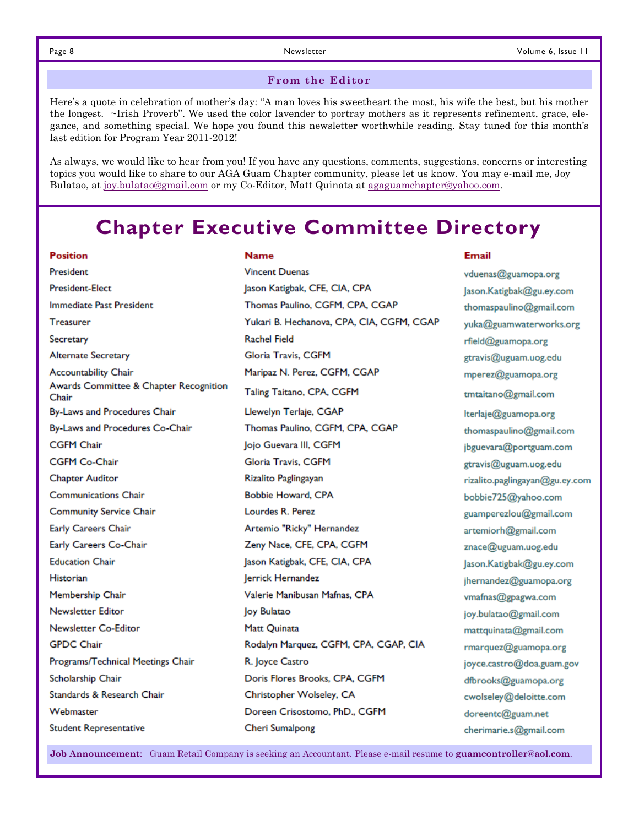#### **From the Editor**

Here's a quote in celebration of mother's day: "A man loves his sweetheart the most, his wife the best, but his mother the longest. ~Irish Proverb". We used the color lavender to portray mothers as it represents refinement, grace, elegance, and something special. We hope you found this newsletter worthwhile reading. Stay tuned for this month's last edition for Program Year 2011-2012!

As always, we would like to hear from you! If you have any questions, comments, suggestions, concerns or interesting topics you would like to share to our AGA Guam Chapter community, please let us know. You may e-mail me, Joy Bulatao, at joy.bulatao@gmail.com or my Co-Editor, Matt Quinata at agaguamchapter@yahoo.com.

### **Chapter Executive Committee Directory**

| <b>Position</b>                                 | <b>Name</b>                               | <b>Email</b> |
|-------------------------------------------------|-------------------------------------------|--------------|
| President                                       | <b>Vincent Duenas</b>                     | vduena       |
| <b>President-Elect</b>                          | Jason Katigbak, CFE, CIA, CPA             | Jason.k      |
| <b>Immediate Past President</b>                 | Thomas Paulino, CGFM, CPA, CGAP           | thomas       |
| <b>Treasurer</b>                                | Yukari B. Hechanova, CPA, CIA, CGFM, CGAP | yuka@        |
| Secretary                                       | <b>Rachel Field</b>                       | rfield@      |
| <b>Alternate Secretary</b>                      | Gloria Travis, CGFM                       | gtravis      |
| <b>Accountability Chair</b>                     | Maripaz N. Perez, CGFM, CGAP              | mpere:       |
| Awards Committee & Chapter Recognition<br>Chair | Taling Taitano, CPA, CGFM                 | tmtaita      |
| By-Laws and Procedures Chair                    | Llewelyn Terlaje, CGAP                    | Iterlaje     |
| By-Laws and Procedures Co-Chair                 | Thomas Paulino, CGFM, CPA, CGAP           | thoma        |
| <b>CGFM Chair</b>                               | Jojo Guevara III, CGFM                    | jbgueva      |
| <b>CGFM Co-Chair</b>                            | Gloria Travis, CGFM                       | gtravis      |
| <b>Chapter Auditor</b>                          | Rizalito Paglingayan                      | rizalito     |
| <b>Communications Chair</b>                     | Bobbie Howard, CPA                        | bobbie       |
| <b>Community Service Chair</b>                  | Lourdes R. Perez                          | guamp        |
| <b>Early Careers Chair</b>                      | Artemio "Ricky" Hernandez                 | artemi       |
| Early Careers Co-Chair                          | Zeny Nace, CFE, CPA, CGFM                 | znace(       |
| <b>Education Chair</b>                          | Jason Katigbak, CFE, CIA, CPA             | Jason.k      |
| Historian                                       | Jerrick Hernandez                         | jhernar      |
| Membership Chair                                | Valerie Manibusan Mafnas, CPA             | vmafna       |
| Newsletter Editor                               | Joy Bulatao                               | joy.bul      |
| Newsletter Co-Editor                            | Matt Quinata                              | mattqu       |
| <b>GPDC Chair</b>                               | Rodalyn Marquez, CGFM, CPA, CGAP, CIA     | rmarqu       |
| Programs/Technical Meetings Chair               | R. Joyce Castro                           | joyce.c      |
| Scholarship Chair                               | Doris Flores Brooks, CPA, CGFM            | dfbroo       |
| Standards & Research Chair                      | Christopher Wolseley, CA                  | cwolse       |
| Webmaster                                       | Doreen Crisostomo, PhD., CGFM             | doreer       |
| <b>Student Representative</b>                   | <b>Cheri Sumalpong</b>                    | cherim       |

as@guamopa.org atigbak@gu.ey.com spaulino@gmail.com guamwaterworks.org Dguamopa.org @uguam.uog.edu  $z$ @guamopa.org no@gmail.com @guamopa.org spaulino@gmail.com ara@portguam.com @uguam.uog.edu .paglingayan@gu.ey.com 725@yahoo.com erezlou@gmail.com orh@gmail.com 20uguam.uog.edu atigbak@gu.ey.com ndez@guamopa.org s@gpagwa.com atao@gmail.com uinata@gmail.com uez@guamopa.org :astro@doa.guam.gov ks@guamopa.org ley@deloitte.com ntc@guam.net arie.s@gmail.com

**Job Announcement**: Guam Retail Company is seeking an Accountant. Please e-mail resume to **guamcontroller@aol.com**.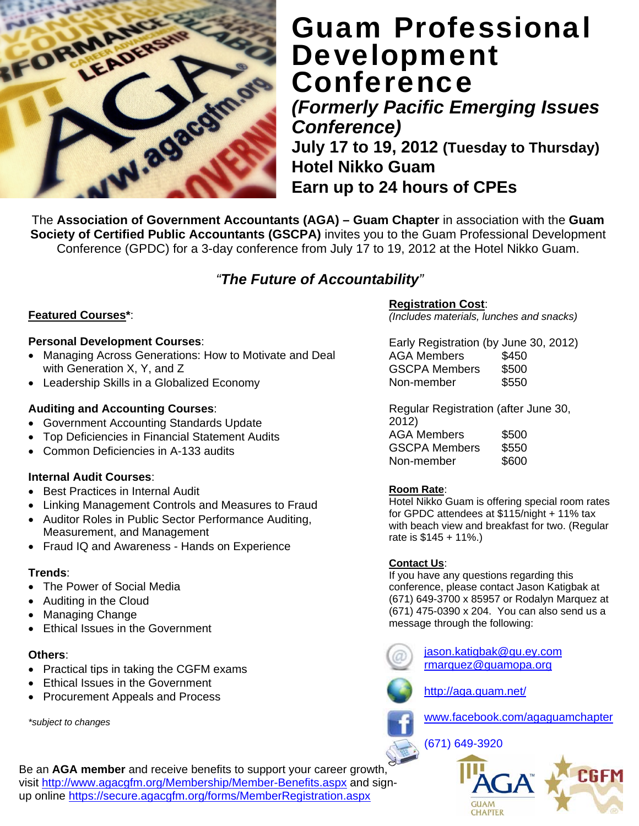

### Guam Professional Development **Conference**

*(Formerly Pacific Emerging Issues Conference)* 

**July 17 to 19, 2012 (Tuesday to Thursday) Hotel Nikko Guam Earn up to 24 hours of CPEs** 

The **Association of Government Accountants (AGA) – Guam Chapter** in association with the **Guam Society of Certified Public Accountants (GSCPA)** invites you to the Guam Professional Development Conference (GPDC) for a 3-day conference from July 17 to 19, 2012 at the Hotel Nikko Guam.

### *"The Future of Accountability"*

### **Featured Courses\***:

#### **Personal Development Courses**:

- Managing Across Generations: How to Motivate and Deal with Generation X, Y, and Z
- Leadership Skills in a Globalized Economy

### **Auditing and Accounting Courses**:

- Government Accounting Standards Update
- Top Deficiencies in Financial Statement Audits
- Common Deficiencies in A-133 audits

#### **Internal Audit Courses**:

- Best Practices in Internal Audit
- Linking Management Controls and Measures to Fraud
- Auditor Roles in Public Sector Performance Auditing, Measurement, and Management
- Fraud IQ and Awareness Hands on Experience

#### **Trends**:

- The Power of Social Media
- Auditing in the Cloud
- Managing Change
- Ethical Issues in the Government

#### **Others**:

- Practical tips in taking the CGFM exams
- Ethical Issues in the Government
- Procurement Appeals and Process

*\*subject to changes* 

### **Registration Cost**:

*(Includes materials, lunches and snacks)* 

Early Registration (by June 30, 2012) AGA Members \$450 GSCPA Members \$500 Non-member \$550

Regular Registration (after June 30, 2012) AGA Members \$500

GSCPA Members \$550 Non-member \$600

#### **Room Rate**:

Hotel Nikko Guam is offering special room rates for GPDC attendees at \$115/night + 11% tax with beach view and breakfast for two. (Regular rate is \$145 + 11%.)

#### **Contact Us**:

If you have any questions regarding this conference, please contact Jason Katigbak at (671) 649-3700 x 85957 or Rodalyn Marquez at (671) 475-0390 x 204. You can also send us a message through the following:

> jason.katigbak@gu.ey.com rmarquez@guamopa.org



http://aga.guam.net/





Be an **AGA member** and receive benefits to support your career growth, visit http://www.agacgfm.org/Membership/Member-Benefits.aspx and signup online https://secure.agacgfm.org/forms/MemberRegistration.aspx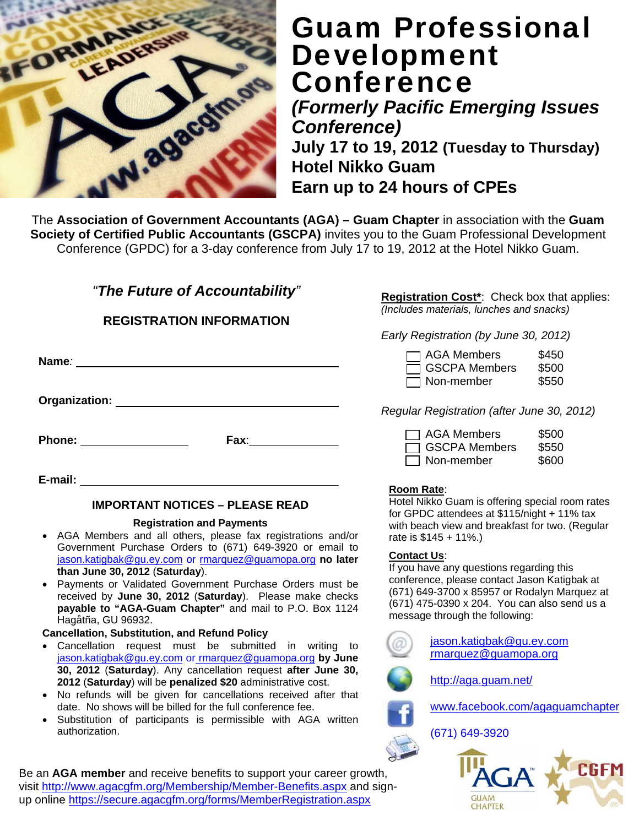

### Guam Professional Development **Conference**

*(Formerly Pacific Emerging Issues Conference)* 

**July 17 to 19, 2012 (Tuesday to Thursday) Hotel Nikko Guam Earn up to 24 hours of CPEs** 

The **Association of Government Accountants (AGA) – Guam Chapter** in association with the **Guam Society of Certified Public Accountants (GSCPA)** invites you to the Guam Professional Development Conference (GPDC) for a 3-day conference from July 17 to 19, 2012 at the Hotel Nikko Guam.

### *"The Future of Accountability"*

**REGISTRATION INFORMATION** 

|               |      | Early Registration (by June 30, 2012)                                                      |
|---------------|------|--------------------------------------------------------------------------------------------|
| Name:         |      | <b>AGA Members</b><br>\$450<br>$\Box$ GSCPA Members<br>\$500<br>\$550<br>$\Box$ Non-member |
| Organization: |      | Regular Registration (after June 30, 2012)                                                 |
| Phone:        | Fax: | <b>AGA Members</b><br>\$500<br><b>GSCPA Members</b><br>\$550<br>Non-member<br>\$600        |

**E-mail:** 

### **IMPORTANT NOTICES – PLEASE READ**

#### **Registration and Payments**

- AGA Members and all others, please fax registrations and/or Government Purchase Orders to (671) 649-3920 or email to jason.katigbak@gu.ey.com or rmarquez@guamopa.org **no later than June 30, 2012** (**Saturday**).
- Payments or Validated Government Purchase Orders must be received by **June 30, 2012** (**Saturday**). Please make checks **payable to "AGA-Guam Chapter"** and mail to P.O. Box 1124 Hagåtña, GU 96932.

#### **Cancellation, Substitution, and Refund Policy**

- Cancellation request must be submitted in writing to jason.katigbak@gu.ey.com or rmarquez@guamopa.org **by June 30, 2012** (**Saturday**). Any cancellation request **after June 30, 2012** (**Saturday**) will be **penalized \$20** administrative cost.
- No refunds will be given for cancellations received after that date. No shows will be billed for the full conference fee.
- Substitution of participants is permissible with AGA written authorization.

Be an **AGA member** and receive benefits to support your career growth, visit http://www.agacgfm.org/Membership/Member-Benefits.aspx and signup online https://secure.agacgfm.org/forms/MemberRegistration.aspx

**Registration Cost\***: Check box that applies: *(Includes materials, lunches and snacks)* 

*Early Registration (by June 30, 2012)* 

| $\Box$ AGA Members   | \$500 |
|----------------------|-------|
| $\Box$ GSCPA Members | \$550 |
| Non-member           | \$600 |

### **Room Rate**:

Hotel Nikko Guam is offering special room rates for GPDC attendees at \$115/night + 11% tax with beach view and breakfast for two. (Regular rate is \$145 + 11%.)

### **Contact Us**:

If you have any questions regarding this conference, please contact Jason Katigbak at (671) 649-3700 x 85957 or Rodalyn Marquez at (671) 475-0390 x 204. You can also send us a message through the following:

> jason.katigbak@gu.ey.com rmarquez@guamopa.org



http://aga.guam.net/



(671) 649-3920



www.facebook.com/agaguamchapter